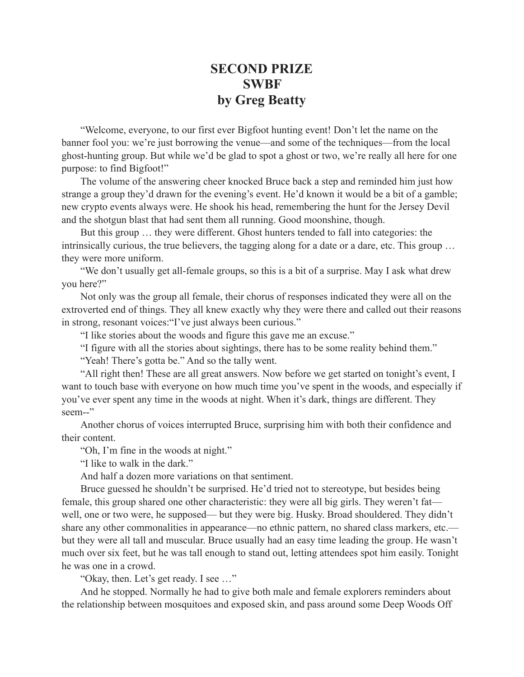## **SECOND PRIZE SWBF by Greg Beatty**

"Welcome, everyone, to our first ever Bigfoot hunting event! Don't let the name on the banner fool you: we're just borrowing the venue—and some of the techniques—from the local ghost-hunting group. But while we'd be glad to spot a ghost or two, we're really all here for one purpose: to find Bigfoot!"

The volume of the answering cheer knocked Bruce back a step and reminded him just how strange a group they'd drawn for the evening's event. He'd known it would be a bit of a gamble; new crypto events always were. He shook his head, remembering the hunt for the Jersey Devil and the shotgun blast that had sent them all running. Good moonshine, though.

But this group … they were different. Ghost hunters tended to fall into categories: the intrinsically curious, the true believers, the tagging along for a date or a dare, etc. This group … they were more uniform.

"We don't usually get all-female groups, so this is a bit of a surprise. May I ask what drew you here?"

Not only was the group all female, their chorus of responses indicated they were all on the extroverted end of things. They all knew exactly why they were there and called out their reasons in strong, resonant voices:"I've just always been curious."

"I like stories about the woods and figure this gave me an excuse."

"I figure with all the stories about sightings, there has to be some reality behind them."

"Yeah! There's gotta be." And so the tally went.

"All right then! These are all great answers. Now before we get started on tonight's event, I want to touch base with everyone on how much time you've spent in the woods, and especially if you've ever spent any time in the woods at night. When it's dark, things are different. They seem--"

Another chorus of voices interrupted Bruce, surprising him with both their confidence and their content.

"Oh, I'm fine in the woods at night."

"I like to walk in the dark"

And half a dozen more variations on that sentiment.

Bruce guessed he shouldn't be surprised. He'd tried not to stereotype, but besides being female, this group shared one other characteristic: they were all big girls. They weren't fat well, one or two were, he supposed— but they were big. Husky. Broad shouldered. They didn't share any other commonalities in appearance—no ethnic pattern, no shared class markers, etc. but they were all tall and muscular. Bruce usually had an easy time leading the group. He wasn't much over six feet, but he was tall enough to stand out, letting attendees spot him easily. Tonight he was one in a crowd.

"Okay, then. Let's get ready. I see …"

And he stopped. Normally he had to give both male and female explorers reminders about the relationship between mosquitoes and exposed skin, and pass around some Deep Woods Off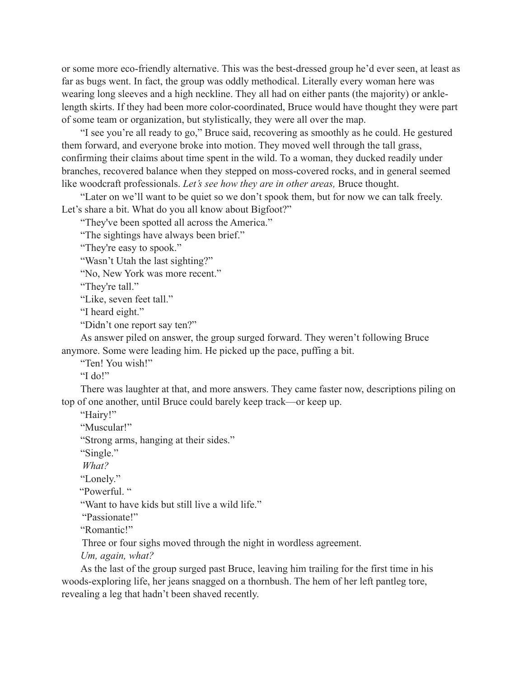or some more eco-friendly alternative. This was the best-dressed group he'd ever seen, at least as far as bugs went. In fact, the group was oddly methodical. Literally every woman here was wearing long sleeves and a high neckline. They all had on either pants (the majority) or anklelength skirts. If they had been more color-coordinated, Bruce would have thought they were part of some team or organization, but stylistically, they were all over the map.

"I see you're all ready to go," Bruce said, recovering as smoothly as he could. He gestured them forward, and everyone broke into motion. They moved well through the tall grass, confirming their claims about time spent in the wild. To a woman, they ducked readily under branches, recovered balance when they stepped on moss-covered rocks, and in general seemed like woodcraft professionals. *Let's see how they are in other areas,* Bruce thought.

"Later on we'll want to be quiet so we don't spook them, but for now we can talk freely. Let's share a bit. What do you all know about Bigfoot?"

"They've been spotted all across the America."

"The sightings have always been brief."

"They're easy to spook."

"Wasn't Utah the last sighting?"

"No, New York was more recent."

"They're tall."

"Like, seven feet tall."

"I heard eight."

"Didn't one report say ten?"

As answer piled on answer, the group surged forward. They weren't following Bruce anymore. Some were leading him. He picked up the pace, puffing a bit.

"Ten! You wish!"

"I do!"

There was laughter at that, and more answers. They came faster now, descriptions piling on top of one another, until Bruce could barely keep track—or keep up.

"Hairy!"

"Muscular!"

"Strong arms, hanging at their sides."

"Single."

 *What?*

"Lonely."

"Powerful. "

"Want to have kids but still live a wild life."

"Passionate!"

"Romantic!"

Three or four sighs moved through the night in wordless agreement.

*Um, again, what?*

As the last of the group surged past Bruce, leaving him trailing for the first time in his woods-exploring life, her jeans snagged on a thornbush. The hem of her left pantleg tore, revealing a leg that hadn't been shaved recently.